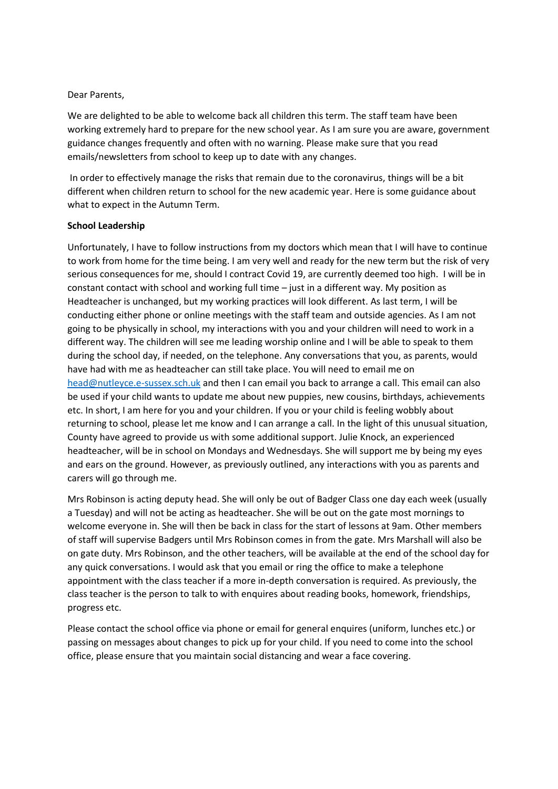#### Dear Parents,

We are delighted to be able to welcome back all children this term. The staff team have been working extremely hard to prepare for the new school year. As I am sure you are aware, government guidance changes frequently and often with no warning. Please make sure that you read emails/newsletters from school to keep up to date with any changes.

In order to effectively manage the risks that remain due to the coronavirus, things will be a bit different when children return to school for the new academic year. Here is some guidance about what to expect in the Autumn Term.

#### **School Leadership**

Unfortunately, I have to follow instructions from my doctors which mean that I will have to continue to work from home for the time being. I am very well and ready for the new term but the risk of very serious consequences for me, should I contract Covid 19, are currently deemed too high. I will be in constant contact with school and working full time – just in a different way. My position as Headteacher is unchanged, but my working practices will look different. As last term, I will be conducting either phone or online meetings with the staff team and outside agencies. As I am not going to be physically in school, my interactions with you and your children will need to work in a different way. The children will see me leading worship online and I will be able to speak to them during the school day, if needed, on the telephone. Any conversations that you, as parents, would have had with me as headteacher can still take place. You will need to email me on [head@nutleyce.e-sussex.sch.uk](mailto:head@nutleyce.e-sussex.sch.uk) and then I can email you back to arrange a call. This email can also be used if your child wants to update me about new puppies, new cousins, birthdays, achievements etc. In short, I am here for you and your children. If you or your child is feeling wobbly about returning to school, please let me know and I can arrange a call. In the light of this unusual situation, County have agreed to provide us with some additional support. Julie Knock, an experienced headteacher, will be in school on Mondays and Wednesdays. She will support me by being my eyes and ears on the ground. However, as previously outlined, any interactions with you as parents and carers will go through me.

Mrs Robinson is acting deputy head. She will only be out of Badger Class one day each week (usually a Tuesday) and will not be acting as headteacher. She will be out on the gate most mornings to welcome everyone in. She will then be back in class for the start of lessons at 9am. Other members of staff will supervise Badgers until Mrs Robinson comes in from the gate. Mrs Marshall will also be on gate duty. Mrs Robinson, and the other teachers, will be available at the end of the school day for any quick conversations. I would ask that you email or ring the office to make a telephone appointment with the class teacher if a more in-depth conversation is required. As previously, the class teacher is the person to talk to with enquires about reading books, homework, friendships, progress etc.

Please contact the school office via phone or email for general enquires (uniform, lunches etc.) or passing on messages about changes to pick up for your child. If you need to come into the school office, please ensure that you maintain social distancing and wear a face covering.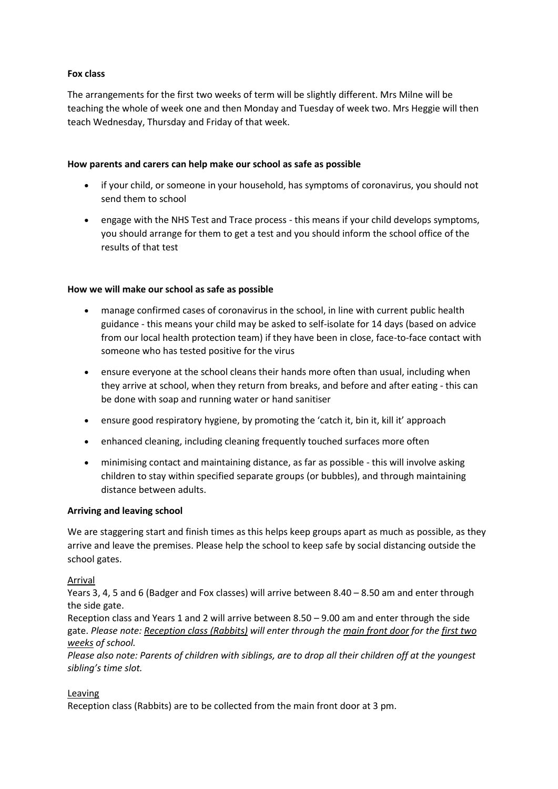## **Fox class**

The arrangements for the first two weeks of term will be slightly different. Mrs Milne will be teaching the whole of week one and then Monday and Tuesday of week two. Mrs Heggie will then teach Wednesday, Thursday and Friday of that week.

## **How parents and carers can help make our school as safe as possible**

- if your child, or someone in your household, has symptoms of coronavirus, you should not send them to school
- engage with the NHS Test and Trace process this means if your child develops symptoms, you should arrange for them to get a test and you should inform the school office of the results of that test

## **How we will make our school as safe as possible**

- manage confirmed cases of coronavirus in the school, in line with current public health guidance - this means your child may be asked to self-isolate for 14 days (based on advice from our local health protection team) if they have been in close, face-to-face contact with someone who has tested positive for the virus
- ensure everyone at the school cleans their hands more often than usual, including when they arrive at school, when they return from breaks, and before and after eating - this can be done with soap and running water or hand sanitiser
- ensure good respiratory hygiene, by promoting the 'catch it, bin it, kill it' approach
- enhanced cleaning, including cleaning frequently touched surfaces more often
- minimising contact and maintaining distance, as far as possible this will involve asking children to stay within specified separate groups (or bubbles), and through maintaining distance between adults.

# **Arriving and leaving school**

We are staggering start and finish times as this helps keep groups apart as much as possible, as they arrive and leave the premises. Please help the school to keep safe by social distancing outside the school gates.

#### Arrival

Years 3, 4, 5 and 6 (Badger and Fox classes) will arrive between 8.40 – 8.50 am and enter through the side gate.

Reception class and Years 1 and 2 will arrive between 8.50 – 9.00 am and enter through the side gate. *Please note: Reception class (Rabbits) will enter through the main front door for the first two weeks of school.*

*Please also note: Parents of children with siblings, are to drop all their children off at the youngest sibling's time slot.*

#### Leaving

Reception class (Rabbits) are to be collected from the main front door at 3 pm.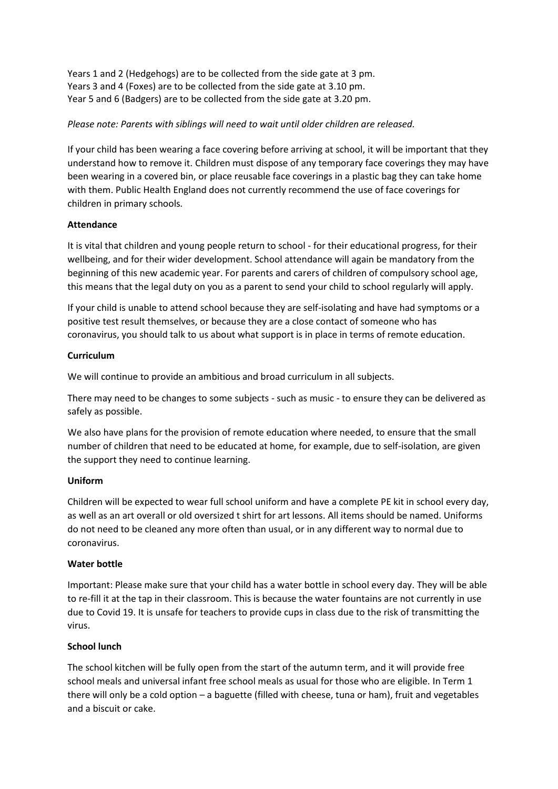Years 1 and 2 (Hedgehogs) are to be collected from the side gate at 3 pm. Years 3 and 4 (Foxes) are to be collected from the side gate at 3.10 pm. Year 5 and 6 (Badgers) are to be collected from the side gate at 3.20 pm.

# *Please note: Parents with siblings will need to wait until older children are released.*

If your child has been wearing a face covering before arriving at school, it will be important that they understand how to remove it. Children must dispose of any temporary face coverings they may have been wearing in a covered bin, or place reusable face coverings in a plastic bag they can take home with them. Public Health England does not currently recommend the use of face coverings for children in primary schools.

# **Attendance**

It is vital that children and young people return to school - for their educational progress, for their wellbeing, and for their wider development. School attendance will again be mandatory from the beginning of this new academic year. For parents and carers of children of compulsory school age, this means that the legal duty on you as a parent to send your child to school regularly will apply.

If your child is unable to attend school because they are self-isolating and have had symptoms or a positive test result themselves, or because they are a close contact of someone who has coronavirus, you should talk to us about what support is in place in terms of remote education.

# **Curriculum**

We will continue to provide an ambitious and broad curriculum in all subjects.

There may need to be changes to some subjects - such as music - to ensure they can be delivered as safely as possible.

We also have plans for the provision of remote education where needed, to ensure that the small number of children that need to be educated at home, for example, due to self-isolation, are given the support they need to continue learning.

#### **Uniform**

Children will be expected to wear full school uniform and have a complete PE kit in school every day, as well as an art overall or old oversized t shirt for art lessons. All items should be named. Uniforms do not need to be cleaned any more often than usual, or in any different way to normal due to coronavirus.

#### **Water bottle**

Important: Please make sure that your child has a water bottle in school every day. They will be able to re-fill it at the tap in their classroom. This is because the water fountains are not currently in use due to Covid 19. It is unsafe for teachers to provide cups in class due to the risk of transmitting the virus.

# **School lunch**

The school kitchen will be fully open from the start of the autumn term, and it will provide free school meals and universal infant free school meals as usual for those who are eligible. In Term 1 there will only be a cold option – a baguette (filled with cheese, tuna or ham), fruit and vegetables and a biscuit or cake.